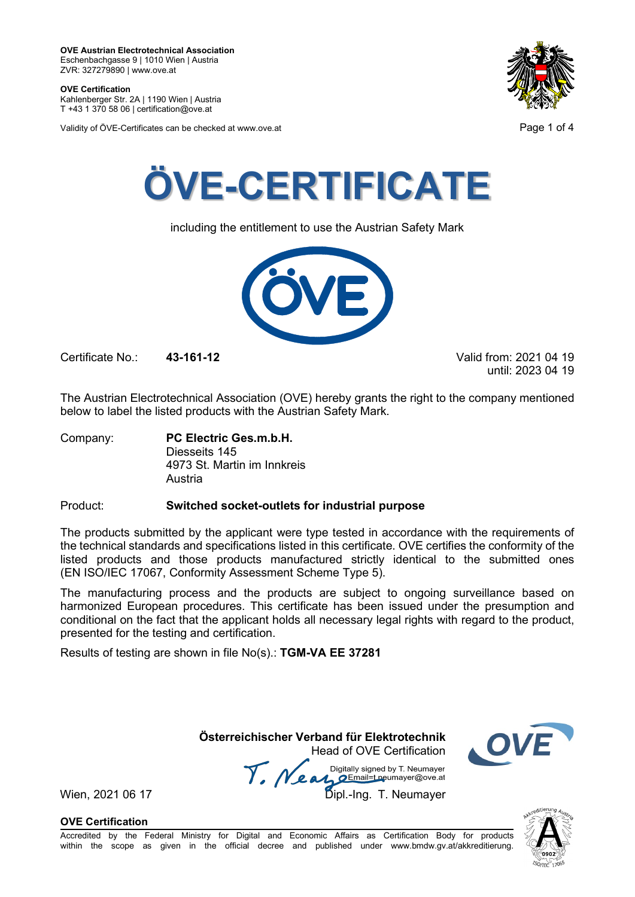**OVE Certification** Kahlenberger Str. 2A | 1190 Wien | Austria

T +43 1 370 58 06 | certification@ove.at

Validity of ÖVE-Certificates can be checked at www.ove.at **Page 1 of 4** Page 1 of 4





including the entitlement to use the Austrian Safety Mark



Certificate No.: **43-161-12** Valid from: 2021 04 19

until: 2023 04 19

The Austrian Electrotechnical Association (OVE) hereby grants the right to the company mentioned below to label the listed products with the Austrian Safety Mark.

Company: **PC Electric Ges.m.b.H.** Diesseits 145 4973 St. Martin im Innkreis Austria

### Product: **Switched socket-outlets for industrial purpose**

The products submitted by the applicant were type tested in accordance with the requirements of the technical standards and specifications listed in this certificate. OVE certifies the conformity of the listed products and those products manufactured strictly identical to the submitted ones (EN ISO/IEC 17067, Conformity Assessment Scheme Type 5).

The manufacturing process and the products are subject to ongoing surveillance based on harmonized European procedures. This certificate has been issued under the presumption and conditional on the fact that the applicant holds all necessary legal rights with regard to the product, presented for the testing and certification.

Results of testing are shown in file No(s).: **TGM-VA EE 37281**

**Österreichischer Verband für Elektrotechnik** Head of OVE Certification

Wien, 2021 06 17 Me and Digitally signed by Livedingy.<br>Wien, 2021 06 17 Dipl.-Ing. T. Neumayer



**OVE Certification**

Accredited by the Federal Ministry for Digital and Economic Affairs as Certification Body for products within the scope as given in the official decree and published under www.bmdw.gv.at/akkreditierung.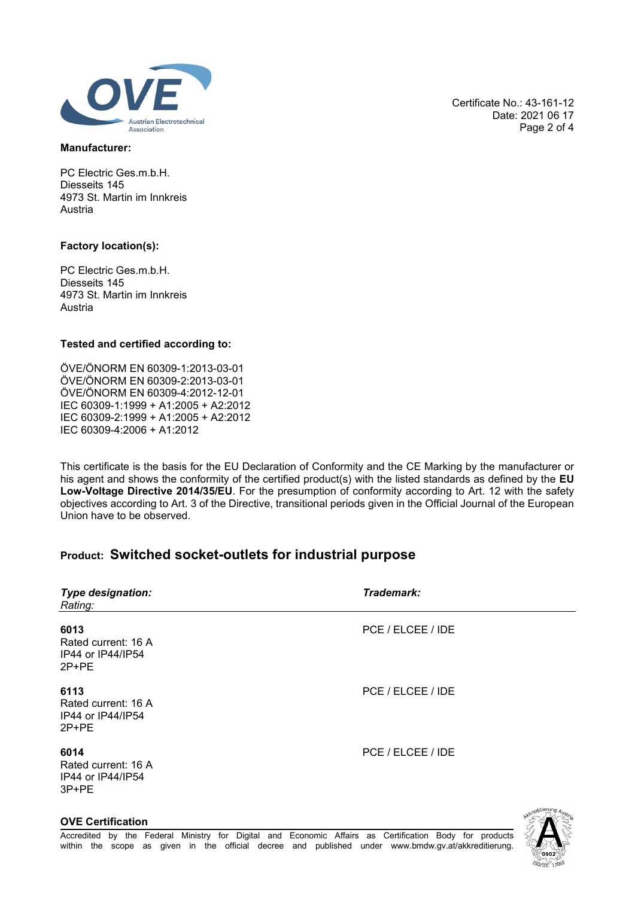

### **Manufacturer:**

PC Electric Ges.m.b.H. Diesseits 145 4973 St. Martin im Innkreis Austria

### **Factory location(s):**

PC Electric Ges.m.b.H. Diesseits 145 4973 St. Martin im Innkreis Austria

### **Tested and certified according to:**

ÖVE/ÖNORM EN 60309-1:2013-03-01 ÖVE/ÖNORM EN 60309-2:2013-03-01 ÖVE/ÖNORM EN 60309-4:2012-12-01 IEC 60309-1:1999 + A1:2005 + A2:2012 IEC 60309-2:1999 + A1:2005 + A2:2012 IEC 60309-4:2006 + A1:2012

This certificate is the basis for the EU Declaration of Conformity and the CE Marking by the manufacturer or his agent and shows the conformity of the certified product(s) with the listed standards as defined by the **EU Low-Voltage Directive 2014/35/EU**. For the presumption of conformity according to Art. 12 with the safety objectives according to Art. 3 of the Directive, transitional periods given in the Official Journal of the European Union have to be observed.

## **Product: Switched socket-outlets for industrial purpose**

| Type designation:<br>Rating:                              | Trademark:        |  |
|-----------------------------------------------------------|-------------------|--|
| 6013<br>Rated current: 16 A<br>IP44 or IP44/IP54<br>2P+PE | PCE / ELCEE / IDE |  |
| 6113<br>Rated current: 16 A<br>IP44 or IP44/IP54<br>2P+PE | PCE / ELCEE / IDE |  |
| 6014<br>Rated current: 16 A<br>IP44 or IP44/IP54<br>3P+PE | PCE / ELCEE / IDE |  |
|                                                           | editierung A.     |  |

Certificate No.: 43-161-12 Date: 2021 06 17 Page 2 of 4

### **OVE Certification**

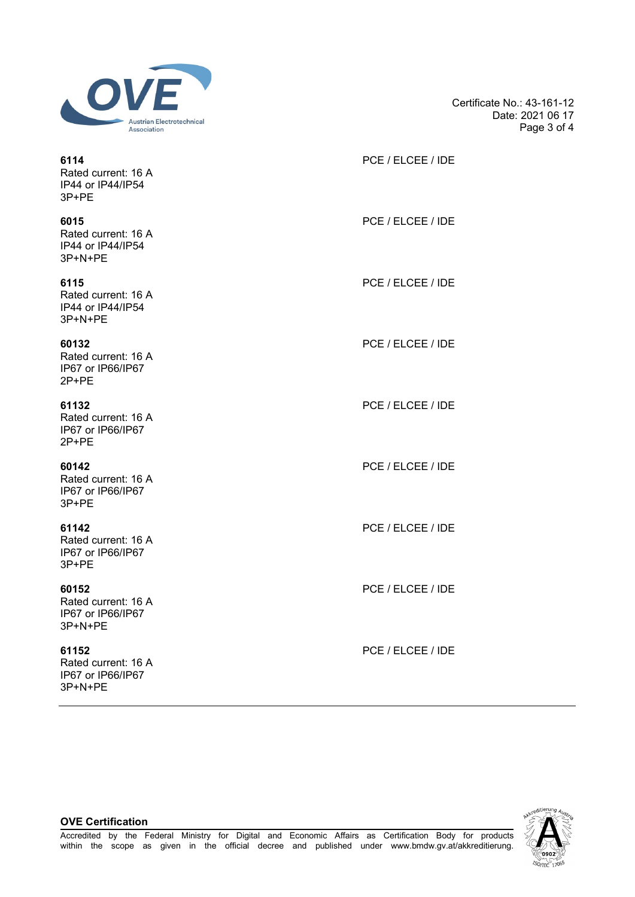

Certificate No.: 43-161-12 Date: 2021 06 17 Page 3 of 4

| 6114<br>Rated current: 16 A<br>IP44 or IP44/IP54<br>3P+PE    | PCE / ELCEE / IDE |
|--------------------------------------------------------------|-------------------|
| 6015<br>Rated current: 16 A<br>IP44 or IP44/IP54<br>3P+N+PE  | PCE / ELCEE / IDE |
| 6115<br>Rated current: 16 A<br>IP44 or IP44/IP54<br>3P+N+PE  | PCE / ELCEE / IDE |
| 60132<br>Rated current: 16 A<br>IP67 or IP66/IP67<br>2P+PE   | PCE / ELCEE / IDE |
| 61132<br>Rated current: 16 A<br>IP67 or IP66/IP67<br>2P+PE   | PCE / ELCEE / IDE |
| 60142<br>Rated current: 16 A<br>IP67 or IP66/IP67<br>3P+PE   | PCE / ELCEE / IDE |
| 61142<br>Rated current: 16 A<br>IP67 or IP66/IP67<br>3P+PE   | PCE / ELCEE / IDE |
| 60152<br>Rated current: 16 A<br>IP67 or IP66/IP67<br>3P+N+PE | PCE / ELCEE / IDE |
| 61152<br>Rated current: 16 A<br>IP67 or IP66/IP67            | PCE / ELCEE / IDE |



#### **OVE Certification**

3P+N+PE